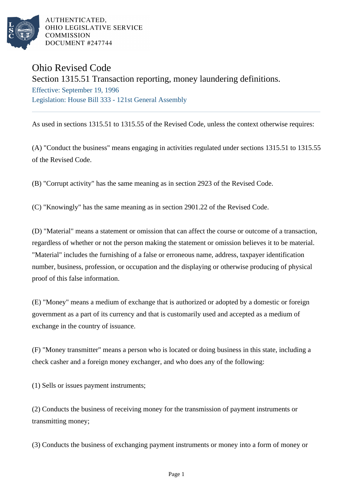

AUTHENTICATED. OHIO LEGISLATIVE SERVICE **COMMISSION** DOCUMENT #247744

## Ohio Revised Code

Section 1315.51 Transaction reporting, money laundering definitions. Effective: September 19, 1996 Legislation: House Bill 333 - 121st General Assembly

As used in sections 1315.51 to 1315.55 of the Revised Code, unless the context otherwise requires:

(A) "Conduct the business" means engaging in activities regulated under sections 1315.51 to 1315.55 of the Revised Code.

(B) "Corrupt activity" has the same meaning as in section 2923 of the Revised Code.

(C) "Knowingly" has the same meaning as in section 2901.22 of the Revised Code.

(D) "Material" means a statement or omission that can affect the course or outcome of a transaction, regardless of whether or not the person making the statement or omission believes it to be material. "Material" includes the furnishing of a false or erroneous name, address, taxpayer identification number, business, profession, or occupation and the displaying or otherwise producing of physical proof of this false information.

(E) "Money" means a medium of exchange that is authorized or adopted by a domestic or foreign government as a part of its currency and that is customarily used and accepted as a medium of exchange in the country of issuance.

(F) "Money transmitter" means a person who is located or doing business in this state, including a check casher and a foreign money exchanger, and who does any of the following:

(1) Sells or issues payment instruments;

(2) Conducts the business of receiving money for the transmission of payment instruments or transmitting money;

(3) Conducts the business of exchanging payment instruments or money into a form of money or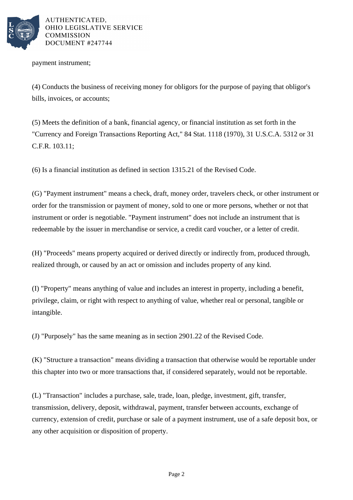

AUTHENTICATED. OHIO LEGISLATIVE SERVICE **COMMISSION** DOCUMENT #247744

payment instrument;

(4) Conducts the business of receiving money for obligors for the purpose of paying that obligor's bills, invoices, or accounts;

(5) Meets the definition of a bank, financial agency, or financial institution as set forth in the "Currency and Foreign Transactions Reporting Act," 84 Stat. 1118 (1970), 31 U.S.C.A. 5312 or 31 C.F.R. 103.11;

(6) Is a financial institution as defined in section 1315.21 of the Revised Code.

(G) "Payment instrument" means a check, draft, money order, travelers check, or other instrument or order for the transmission or payment of money, sold to one or more persons, whether or not that instrument or order is negotiable. "Payment instrument" does not include an instrument that is redeemable by the issuer in merchandise or service, a credit card voucher, or a letter of credit.

(H) "Proceeds" means property acquired or derived directly or indirectly from, produced through, realized through, or caused by an act or omission and includes property of any kind.

(I) "Property" means anything of value and includes an interest in property, including a benefit, privilege, claim, or right with respect to anything of value, whether real or personal, tangible or intangible.

(J) "Purposely" has the same meaning as in section 2901.22 of the Revised Code.

(K) "Structure a transaction" means dividing a transaction that otherwise would be reportable under this chapter into two or more transactions that, if considered separately, would not be reportable.

(L) "Transaction" includes a purchase, sale, trade, loan, pledge, investment, gift, transfer, transmission, delivery, deposit, withdrawal, payment, transfer between accounts, exchange of currency, extension of credit, purchase or sale of a payment instrument, use of a safe deposit box, or any other acquisition or disposition of property.